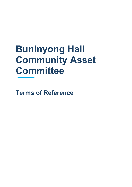# **Buninyong Hall Community Asset Committee**

**Terms of Reference**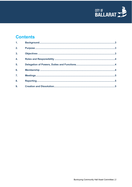

# **Contents**

| 1.               |  |
|------------------|--|
| 2.               |  |
| $\overline{3}$ . |  |
| $\overline{4}$ . |  |
| 5 <sub>1</sub>   |  |
| 6.               |  |
| $\overline{7}$ . |  |
| 8.               |  |
| 9.               |  |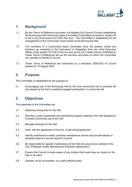

#### <span id="page-2-0"></span>**1. Background**

- 1.1. By this Terms of Reference document, the Ballarat City Council (Council) establishes the Buninyong Hall Community Asset Committee (Committee) pursuant to section 65 of the *Local Government Act 2020* (the Act). The Committee is established for the management of the Community Asset known as the Buninyong Hall.
- 1.2. The members of a Community Asset Committee have the powers, duties and functions as contained in the Instrument of Delegation from the Chief Executive Officer under section 47(1)(b) of the Act and as set out in these Terms of Reference. These Terms of Reference set out the structure and basis on which the Committee can operate on behalf of Council.
- 1.3. These Terms of Reference are authorised by a resolution (R203/20) of Council passed on 12 August 2020.

#### <span id="page-2-1"></span>**2. Purpose**

The Committee is established for the purpose of:

2.1 Encouraging use of the Buninyong Hall by the local community and to promote the role played by the hall in enabling engaged participation in community life

#### <span id="page-2-2"></span>**3. Objectives**

The objectives of the Committee are:

- 3.1 Determine hiring fees for the Hall
- 3.2 Develop a public awareness and advertising program relating to the Hall designed to increase community use of the Hall.
- 3.3 Manage bookings for the Hall.
- 3.4 Draft, with the agreement of Council, a Hall hiring agreement.
- 3.5 Identify maintenance needs, prioritise maintenance actions and provide details of remedial actions in annual report to Council.
- 3.6 Be responsible for specific maintenance of the Hall and grounds as outlined in the City of Ballarat Facility Maintenance Schedule (addendum1).
- 3.7 Ensure that Council is made aware of any matters that could have an impact on the Hall or its users.
- <span id="page-2-3"></span>3.8 Operate, as far as possible, on a self-sufficient basis.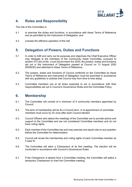

### **4. Roles and Responsibility**

The role of the Committee is:

- 4.1 to exercise the duties and functions, in accordance with these Terms of Reference and as permitted by the Instrument of Delegation; and
- 4.2 oversee the effective operation of the hall.

#### <span id="page-3-0"></span>**5. Delegation of Powers, Duties and Functions**

- 5.1 In order to fulfil and carry out its purposes and objectives the Chief Executive Officer may delegate to the members of the Community Asset Committee, pursuant to section 47(1)(b) of the *Local Government Act 2020*, the powers, duties and functions set out in the Instrument of Delegation passed at Council on 12 August 2020 (R206/20) and attached to these Terms of Reference.
- 5.2 The powers, duties and functions of Council conferred on the Committee by these Terms of Reference and Instrument of Delegation must be exercised in accordance with any guidelines or policies that Council may from time to time adopt.
- 5.3 Committee members are at all times expected to act in accordance with their responsibilities set out in Council's Governance Rules and the Committee Policy.

#### <span id="page-3-1"></span>**6. Membership**

- 6.1. The Committee will consist of a minimum of 5 community members appointed by Council.
- 6.2. The term of membership will be for a Council term. A re-appointment of committee members must occur by 30 June after each Council election
- 6.3. Council Officers who attend the meetings of the Committee are to provide advice and support to the Committee and are not considered Committee members and do not have voting rights.
- 6.4. Each member of the Committee has and may exercise one equal vote on any question before the Committee for determination.
- 6.5. Council will revise the membership and voting rights of each Committee member as it sees fit.
- 6.6. The Committee will elect a Chairperson at its first meeting. The election will be conducted in accordance with Council's Governance Rules.
- 6.7. If the Chairperson is absent from a Committee meeting, the Committee will select a temporary Chairperson to chair the Committee meeting.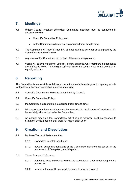

## <span id="page-4-0"></span>**7. Meetings**

- 7.1 Unless Council resolves otherwise, Committee meetings must be conducted in accordance with:
	- Council's Committee Policy; and
	- At the Committee's discretion, as exercised from time to time.
- 7.2 The Committee will meet bi-monthly, at least six times per year or as agreed by the Committee from time to time.
- 7.3 A quorum of the Committee will be half of the members plus one.
- 7.4 Voting will be by a majority of votes by a show of hands. Only members in attendance are entitled to vote. The Chairperson shall have the casting vote in the event of an equality of votes.

#### <span id="page-4-1"></span>**8. Reporting**

The Committee is responsible for taking proper minutes of all meetings and preparing reports for the Committee's consideration in accordance with:

- 8.1 Council's Governance Rules as determined by Council;
- 8.2 Council's Committee Policy;
- 8.3 the Committee's discretion, as exercised from time to time;
- 8.4 Minutes of Committee meetings must be forwarded to the Statutory Compliance Unit immediately after adoption by the Committee.
- 8.5 An annual report on the Committees activities and finances must be reported to Statutory Compliance no later than 30 August each year

#### <span id="page-4-2"></span>**9. Creation and Dissolution**

- 9.1 By these Terms of Reference, the:
	- 9.1.1 Committee is established; and
	- 9.1.2 powers, duties and functions of the Committee members, as set out in the Instrument of Delegation, are delegated.
- 9.2 These Terms of Reference
	- 9.2.1 come into force immediately when the resolution of Council adopting them is made; and
	- 9.2.2 remain in force until Council determines to vary or revoke it.